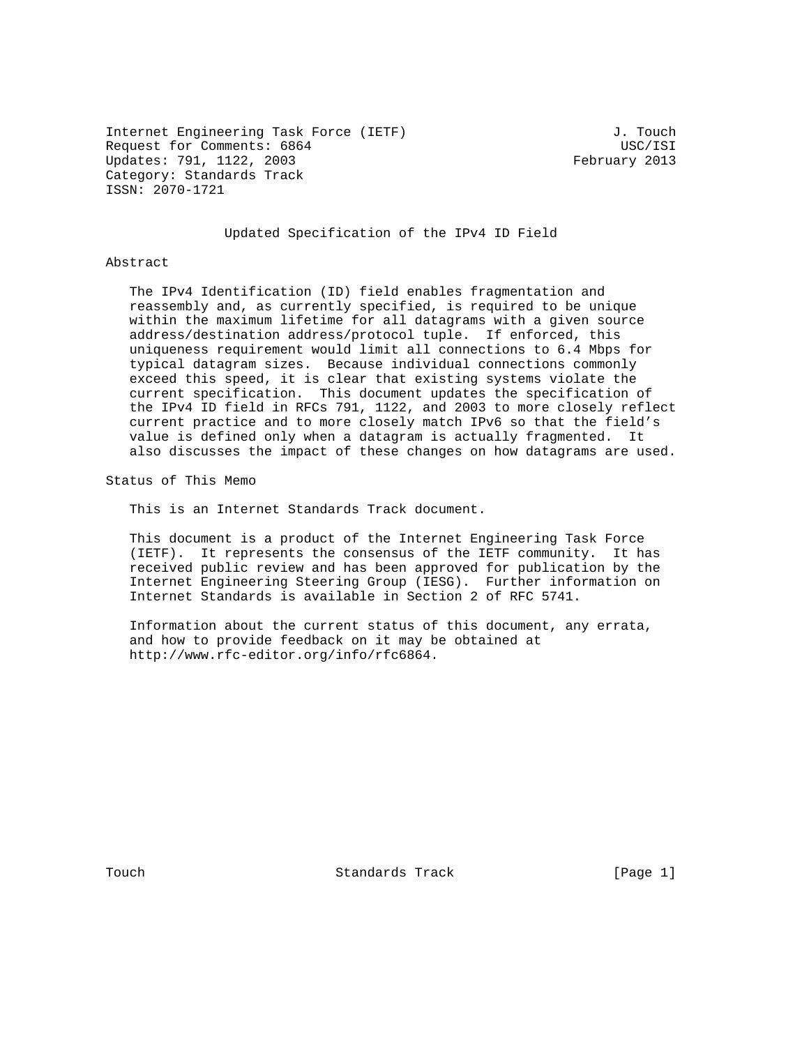Internet Engineering Task Force (IETF) 3. Touch Request for Comments: 6864 USC/ISI Updates: 791, 1122, 2003 February 2013 Category: Standards Track ISSN: 2070-1721

# Updated Specification of the IPv4 ID Field

#### Abstract

 The IPv4 Identification (ID) field enables fragmentation and reassembly and, as currently specified, is required to be unique within the maximum lifetime for all datagrams with a given source address/destination address/protocol tuple. If enforced, this uniqueness requirement would limit all connections to 6.4 Mbps for typical datagram sizes. Because individual connections commonly exceed this speed, it is clear that existing systems violate the current specification. This document updates the specification of the IPv4 ID field in RFCs 791, 1122, and 2003 to more closely reflect current practice and to more closely match IPv6 so that the field's value is defined only when a datagram is actually fragmented. It also discusses the impact of these changes on how datagrams are used.

Status of This Memo

This is an Internet Standards Track document.

 This document is a product of the Internet Engineering Task Force (IETF). It represents the consensus of the IETF community. It has received public review and has been approved for publication by the Internet Engineering Steering Group (IESG). Further information on Internet Standards is available in Section 2 of RFC 5741.

 Information about the current status of this document, any errata, and how to provide feedback on it may be obtained at http://www.rfc-editor.org/info/rfc6864.

Touch **Standards Track** [Page 1]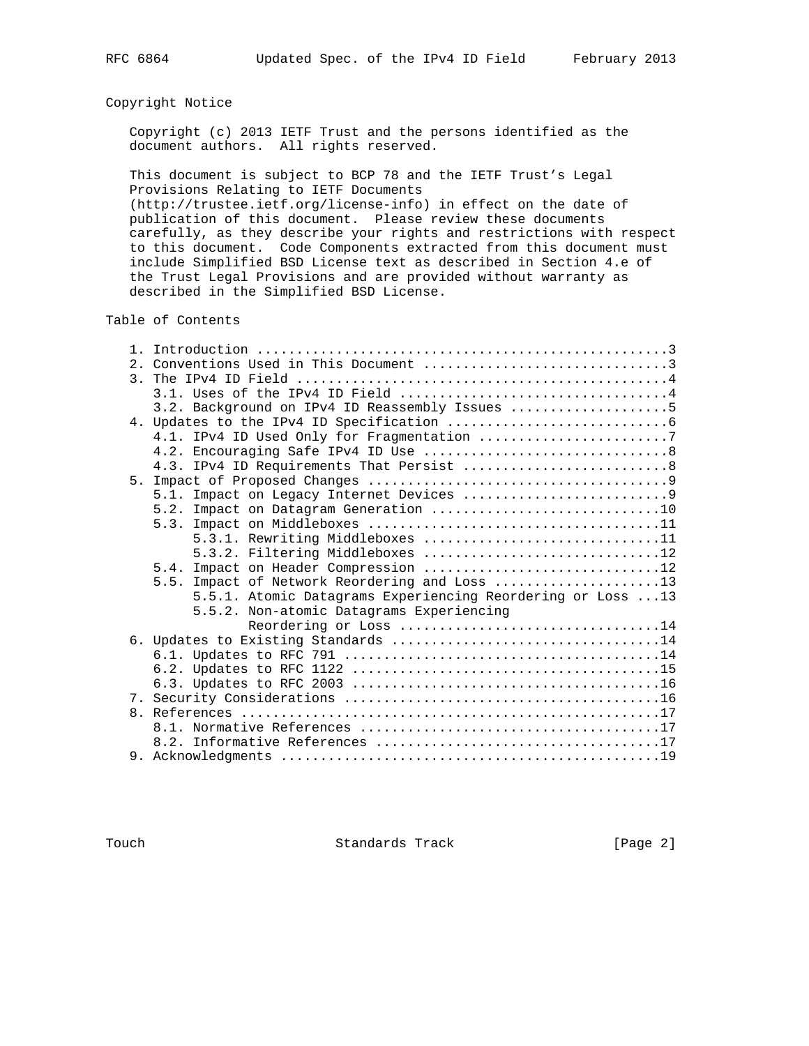# Copyright Notice

 Copyright (c) 2013 IETF Trust and the persons identified as the document authors. All rights reserved.

 This document is subject to BCP 78 and the IETF Trust's Legal Provisions Relating to IETF Documents

 (http://trustee.ietf.org/license-info) in effect on the date of publication of this document. Please review these documents carefully, as they describe your rights and restrictions with respect to this document. Code Components extracted from this document must include Simplified BSD License text as described in Section 4.e of the Trust Legal Provisions and are provided without warranty as described in the Simplified BSD License.

# Table of Contents

| 3.2. Background on IPv4 ID Reassembly Issues 5             |  |
|------------------------------------------------------------|--|
|                                                            |  |
|                                                            |  |
|                                                            |  |
|                                                            |  |
| 5.                                                         |  |
|                                                            |  |
|                                                            |  |
|                                                            |  |
| 5.3.1. Rewriting Middleboxes 11                            |  |
| 5.3.2. Filtering Middleboxes 12                            |  |
| 5.4. Impact on Header Compression 12                       |  |
| 5.5. Impact of Network Reordering and Loss 13              |  |
| 5.5.1. Atomic Datagrams Experiencing Reordering or Loss 13 |  |
| 5.5.2. Non-atomic Datagrams Experiencing                   |  |
| Reordering or Loss 14                                      |  |
|                                                            |  |
|                                                            |  |
|                                                            |  |
|                                                            |  |
|                                                            |  |
|                                                            |  |
|                                                            |  |
|                                                            |  |
|                                                            |  |

Touch **Standards Track** [Page 2]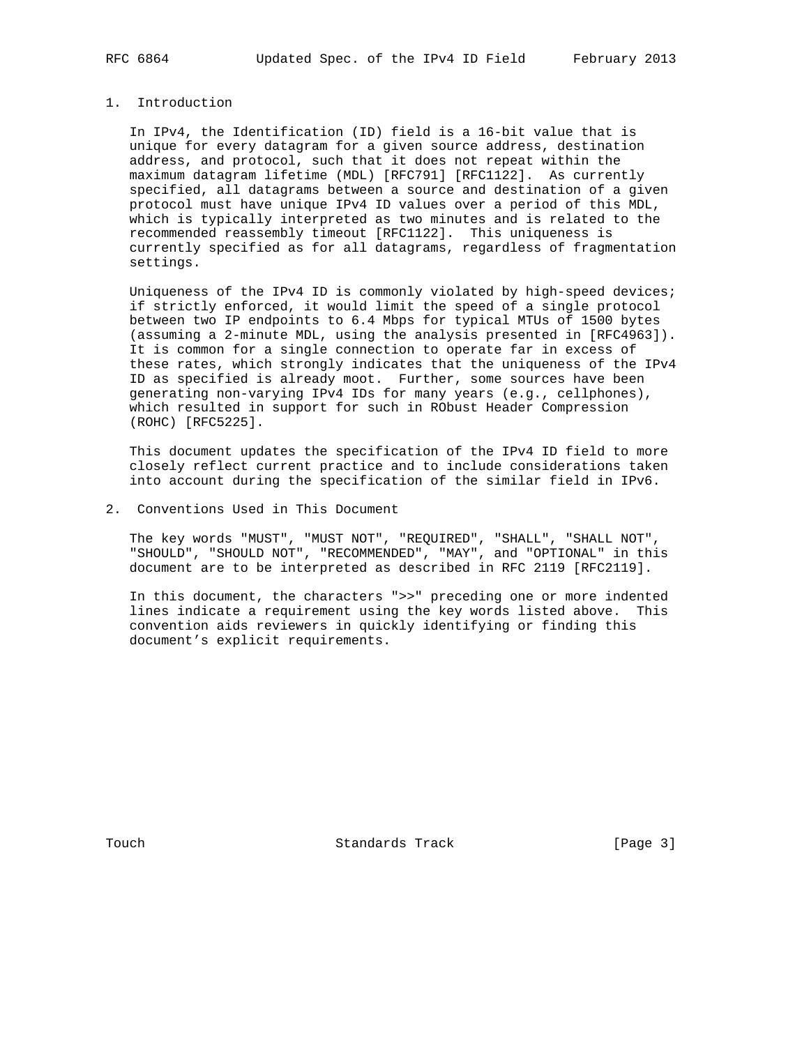# 1. Introduction

 In IPv4, the Identification (ID) field is a 16-bit value that is unique for every datagram for a given source address, destination address, and protocol, such that it does not repeat within the maximum datagram lifetime (MDL) [RFC791] [RFC1122]. As currently specified, all datagrams between a source and destination of a given protocol must have unique IPv4 ID values over a period of this MDL, which is typically interpreted as two minutes and is related to the recommended reassembly timeout [RFC1122]. This uniqueness is currently specified as for all datagrams, regardless of fragmentation settings.

 Uniqueness of the IPv4 ID is commonly violated by high-speed devices; if strictly enforced, it would limit the speed of a single protocol between two IP endpoints to 6.4 Mbps for typical MTUs of 1500 bytes (assuming a 2-minute MDL, using the analysis presented in [RFC4963]). It is common for a single connection to operate far in excess of these rates, which strongly indicates that the uniqueness of the IPv4 ID as specified is already moot. Further, some sources have been generating non-varying IPv4 IDs for many years (e.g., cellphones), which resulted in support for such in RObust Header Compression (ROHC) [RFC5225].

 This document updates the specification of the IPv4 ID field to more closely reflect current practice and to include considerations taken into account during the specification of the similar field in IPv6.

2. Conventions Used in This Document

 The key words "MUST", "MUST NOT", "REQUIRED", "SHALL", "SHALL NOT", "SHOULD", "SHOULD NOT", "RECOMMENDED", "MAY", and "OPTIONAL" in this document are to be interpreted as described in RFC 2119 [RFC2119].

 In this document, the characters ">>" preceding one or more indented lines indicate a requirement using the key words listed above. This convention aids reviewers in quickly identifying or finding this document's explicit requirements.

Touch **Standards Track** [Page 3]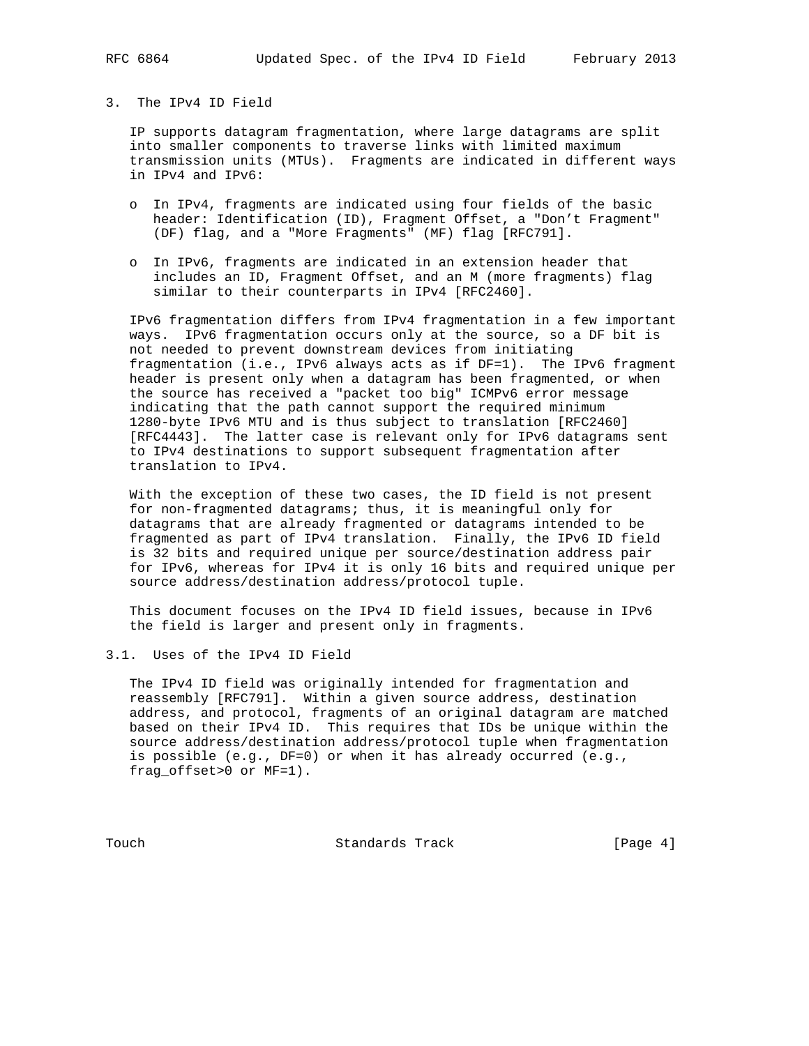## 3. The IPv4 ID Field

 IP supports datagram fragmentation, where large datagrams are split into smaller components to traverse links with limited maximum transmission units (MTUs). Fragments are indicated in different ways in IPv4 and IPv6:

- o In IPv4, fragments are indicated using four fields of the basic header: Identification (ID), Fragment Offset, a "Don't Fragment" (DF) flag, and a "More Fragments" (MF) flag [RFC791].
- o In IPv6, fragments are indicated in an extension header that includes an ID, Fragment Offset, and an M (more fragments) flag similar to their counterparts in IPv4 [RFC2460].

 IPv6 fragmentation differs from IPv4 fragmentation in a few important ways. IPv6 fragmentation occurs only at the source, so a DF bit is not needed to prevent downstream devices from initiating fragmentation (i.e., IPv6 always acts as if DF=1). The IPv6 fragment header is present only when a datagram has been fragmented, or when the source has received a "packet too big" ICMPv6 error message indicating that the path cannot support the required minimum 1280-byte IPv6 MTU and is thus subject to translation [RFC2460] [RFC4443]. The latter case is relevant only for IPv6 datagrams sent to IPv4 destinations to support subsequent fragmentation after translation to IPv4.

 With the exception of these two cases, the ID field is not present for non-fragmented datagrams; thus, it is meaningful only for datagrams that are already fragmented or datagrams intended to be fragmented as part of IPv4 translation. Finally, the IPv6 ID field is 32 bits and required unique per source/destination address pair for IPv6, whereas for IPv4 it is only 16 bits and required unique per source address/destination address/protocol tuple.

 This document focuses on the IPv4 ID field issues, because in IPv6 the field is larger and present only in fragments.

3.1. Uses of the IPv4 ID Field

 The IPv4 ID field was originally intended for fragmentation and reassembly [RFC791]. Within a given source address, destination address, and protocol, fragments of an original datagram are matched based on their IPv4 ID. This requires that IDs be unique within the source address/destination address/protocol tuple when fragmentation is possible (e.g., DF=0) or when it has already occurred (e.g., frag\_offset>0 or MF=1).

Touch **Standards Track** [Page 4]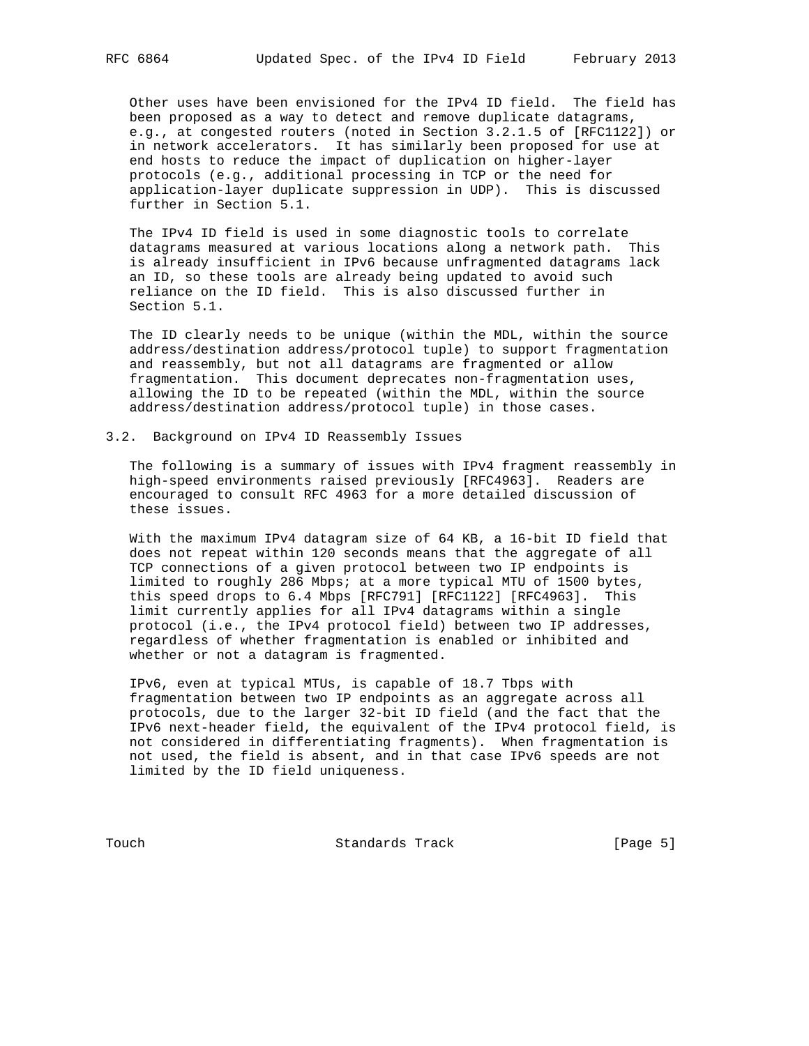Other uses have been envisioned for the IPv4 ID field. The field has been proposed as a way to detect and remove duplicate datagrams, e.g., at congested routers (noted in Section 3.2.1.5 of [RFC1122]) or in network accelerators. It has similarly been proposed for use at end hosts to reduce the impact of duplication on higher-layer protocols (e.g., additional processing in TCP or the need for application-layer duplicate suppression in UDP). This is discussed further in Section 5.1.

 The IPv4 ID field is used in some diagnostic tools to correlate datagrams measured at various locations along a network path. This is already insufficient in IPv6 because unfragmented datagrams lack an ID, so these tools are already being updated to avoid such reliance on the ID field. This is also discussed further in Section 5.1.

 The ID clearly needs to be unique (within the MDL, within the source address/destination address/protocol tuple) to support fragmentation and reassembly, but not all datagrams are fragmented or allow fragmentation. This document deprecates non-fragmentation uses, allowing the ID to be repeated (within the MDL, within the source address/destination address/protocol tuple) in those cases.

### 3.2. Background on IPv4 ID Reassembly Issues

 The following is a summary of issues with IPv4 fragment reassembly in high-speed environments raised previously [RFC4963]. Readers are encouraged to consult RFC 4963 for a more detailed discussion of these issues.

 With the maximum IPv4 datagram size of 64 KB, a 16-bit ID field that does not repeat within 120 seconds means that the aggregate of all TCP connections of a given protocol between two IP endpoints is limited to roughly 286 Mbps; at a more typical MTU of 1500 bytes, this speed drops to 6.4 Mbps [RFC791] [RFC1122] [RFC4963]. This limit currently applies for all IPv4 datagrams within a single protocol (i.e., the IPv4 protocol field) between two IP addresses, regardless of whether fragmentation is enabled or inhibited and whether or not a datagram is fragmented.

 IPv6, even at typical MTUs, is capable of 18.7 Tbps with fragmentation between two IP endpoints as an aggregate across all protocols, due to the larger 32-bit ID field (and the fact that the IPv6 next-header field, the equivalent of the IPv4 protocol field, is not considered in differentiating fragments). When fragmentation is not used, the field is absent, and in that case IPv6 speeds are not limited by the ID field uniqueness.

Touch **Standards Track** [Page 5]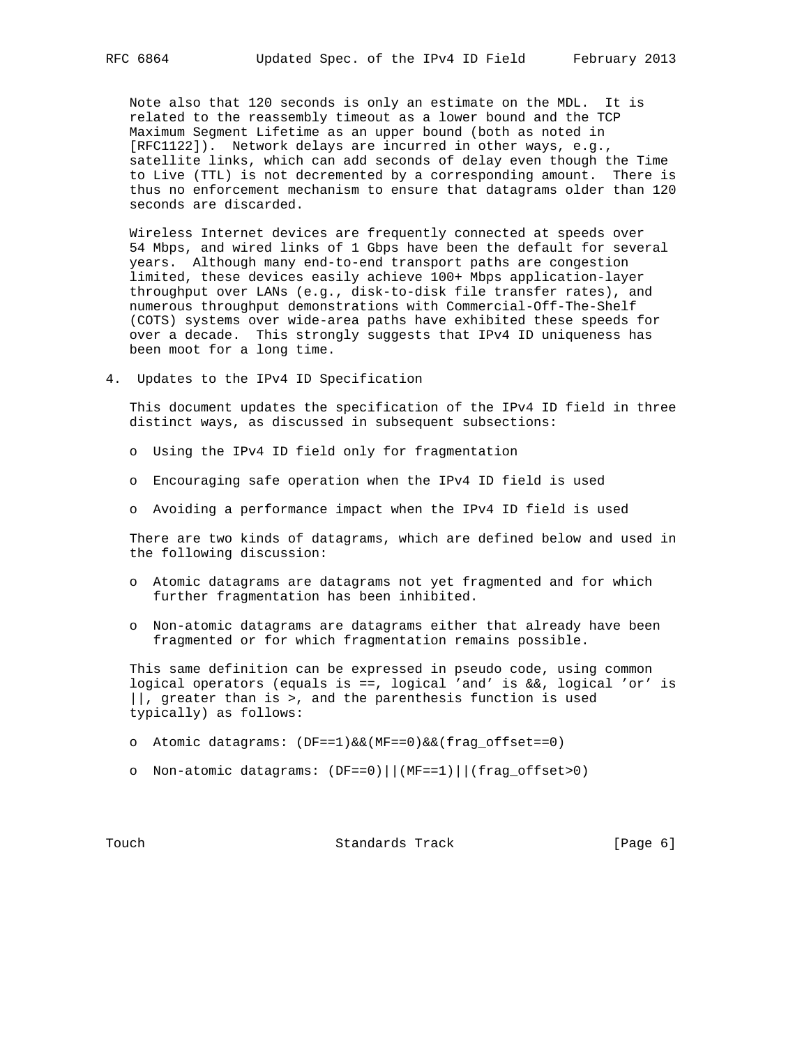Note also that 120 seconds is only an estimate on the MDL. It is related to the reassembly timeout as a lower bound and the TCP Maximum Segment Lifetime as an upper bound (both as noted in [RFC1122]). Network delays are incurred in other ways, e.g., satellite links, which can add seconds of delay even though the Time to Live (TTL) is not decremented by a corresponding amount. There is thus no enforcement mechanism to ensure that datagrams older than 120 seconds are discarded.

 Wireless Internet devices are frequently connected at speeds over 54 Mbps, and wired links of 1 Gbps have been the default for several years. Although many end-to-end transport paths are congestion limited, these devices easily achieve 100+ Mbps application-layer throughput over LANs (e.g., disk-to-disk file transfer rates), and numerous throughput demonstrations with Commercial-Off-The-Shelf (COTS) systems over wide-area paths have exhibited these speeds for over a decade. This strongly suggests that IPv4 ID uniqueness has been moot for a long time.

4. Updates to the IPv4 ID Specification

 This document updates the specification of the IPv4 ID field in three distinct ways, as discussed in subsequent subsections:

- o Using the IPv4 ID field only for fragmentation
- o Encouraging safe operation when the IPv4 ID field is used
- o Avoiding a performance impact when the IPv4 ID field is used

 There are two kinds of datagrams, which are defined below and used in the following discussion:

- o Atomic datagrams are datagrams not yet fragmented and for which further fragmentation has been inhibited.
- o Non-atomic datagrams are datagrams either that already have been fragmented or for which fragmentation remains possible.

 This same definition can be expressed in pseudo code, using common logical operators (equals is ==, logical 'and' is  $&\&b$  logical 'or' is ||, greater than is >, and the parenthesis function is used typically) as follows:

- o Atomic datagrams: (DF==1)&&(MF==0)&&(frag\_offset==0)
- o Non-atomic datagrams: (DF==0)||(MF==1)||(frag\_offset>0)

Touch **Standards Track** [Page 6]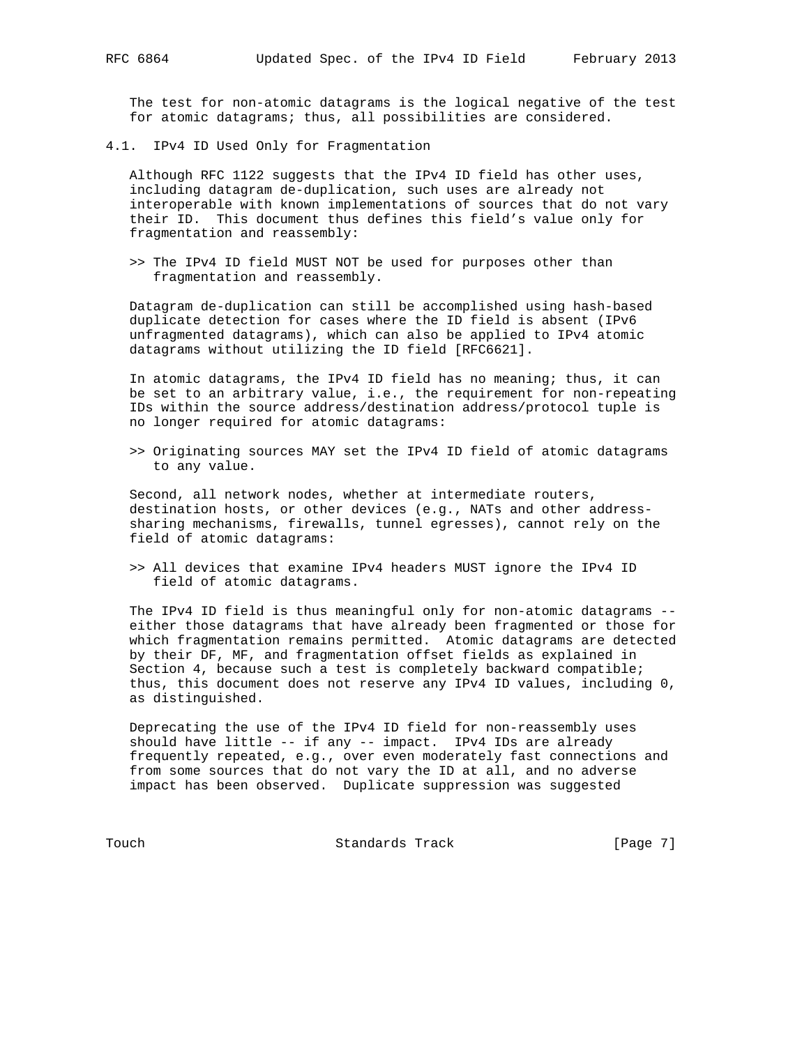The test for non-atomic datagrams is the logical negative of the test for atomic datagrams; thus, all possibilities are considered.

4.1. IPv4 ID Used Only for Fragmentation

 Although RFC 1122 suggests that the IPv4 ID field has other uses, including datagram de-duplication, such uses are already not interoperable with known implementations of sources that do not vary their ID. This document thus defines this field's value only for fragmentation and reassembly:

 >> The IPv4 ID field MUST NOT be used for purposes other than fragmentation and reassembly.

 Datagram de-duplication can still be accomplished using hash-based duplicate detection for cases where the ID field is absent (IPv6 unfragmented datagrams), which can also be applied to IPv4 atomic datagrams without utilizing the ID field [RFC6621].

 In atomic datagrams, the IPv4 ID field has no meaning; thus, it can be set to an arbitrary value, i.e., the requirement for non-repeating IDs within the source address/destination address/protocol tuple is no longer required for atomic datagrams:

 >> Originating sources MAY set the IPv4 ID field of atomic datagrams to any value.

 Second, all network nodes, whether at intermediate routers, destination hosts, or other devices (e.g., NATs and other address sharing mechanisms, firewalls, tunnel egresses), cannot rely on the field of atomic datagrams:

 >> All devices that examine IPv4 headers MUST ignore the IPv4 ID field of atomic datagrams.

 The IPv4 ID field is thus meaningful only for non-atomic datagrams - either those datagrams that have already been fragmented or those for which fragmentation remains permitted. Atomic datagrams are detected by their DF, MF, and fragmentation offset fields as explained in Section 4, because such a test is completely backward compatible; thus, this document does not reserve any IPv4 ID values, including 0, as distinguished.

 Deprecating the use of the IPv4 ID field for non-reassembly uses should have little -- if any -- impact. IPv4 IDs are already frequently repeated, e.g., over even moderately fast connections and from some sources that do not vary the ID at all, and no adverse impact has been observed. Duplicate suppression was suggested

Touch **Standards Track** [Page 7]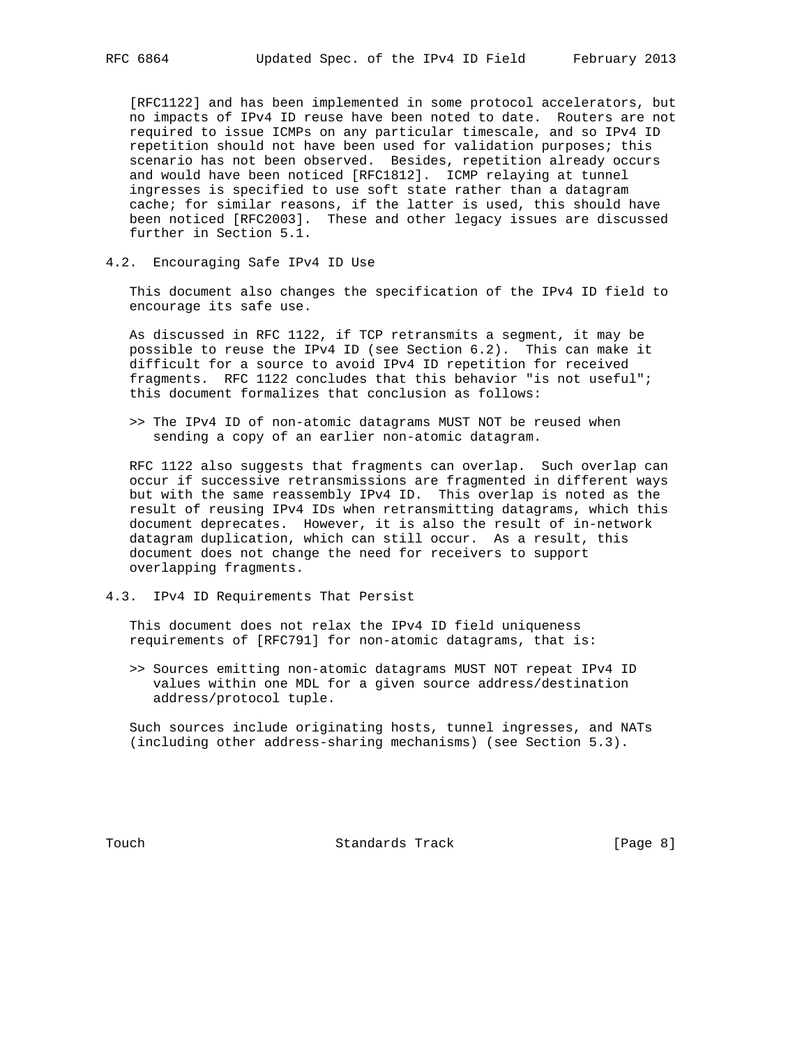[RFC1122] and has been implemented in some protocol accelerators, but no impacts of IPv4 ID reuse have been noted to date. Routers are not required to issue ICMPs on any particular timescale, and so IPv4 ID repetition should not have been used for validation purposes; this scenario has not been observed. Besides, repetition already occurs and would have been noticed [RFC1812]. ICMP relaying at tunnel ingresses is specified to use soft state rather than a datagram cache; for similar reasons, if the latter is used, this should have been noticed [RFC2003]. These and other legacy issues are discussed further in Section 5.1.

4.2. Encouraging Safe IPv4 ID Use

 This document also changes the specification of the IPv4 ID field to encourage its safe use.

 As discussed in RFC 1122, if TCP retransmits a segment, it may be possible to reuse the IPv4 ID (see Section 6.2). This can make it difficult for a source to avoid IPv4 ID repetition for received fragments. RFC 1122 concludes that this behavior "is not useful"; this document formalizes that conclusion as follows:

 >> The IPv4 ID of non-atomic datagrams MUST NOT be reused when sending a copy of an earlier non-atomic datagram.

 RFC 1122 also suggests that fragments can overlap. Such overlap can occur if successive retransmissions are fragmented in different ways but with the same reassembly IPv4 ID. This overlap is noted as the result of reusing IPv4 IDs when retransmitting datagrams, which this document deprecates. However, it is also the result of in-network datagram duplication, which can still occur. As a result, this document does not change the need for receivers to support overlapping fragments.

4.3. IPv4 ID Requirements That Persist

 This document does not relax the IPv4 ID field uniqueness requirements of [RFC791] for non-atomic datagrams, that is:

 >> Sources emitting non-atomic datagrams MUST NOT repeat IPv4 ID values within one MDL for a given source address/destination address/protocol tuple.

 Such sources include originating hosts, tunnel ingresses, and NATs (including other address-sharing mechanisms) (see Section 5.3).

Touch **Standards Track** [Page 8]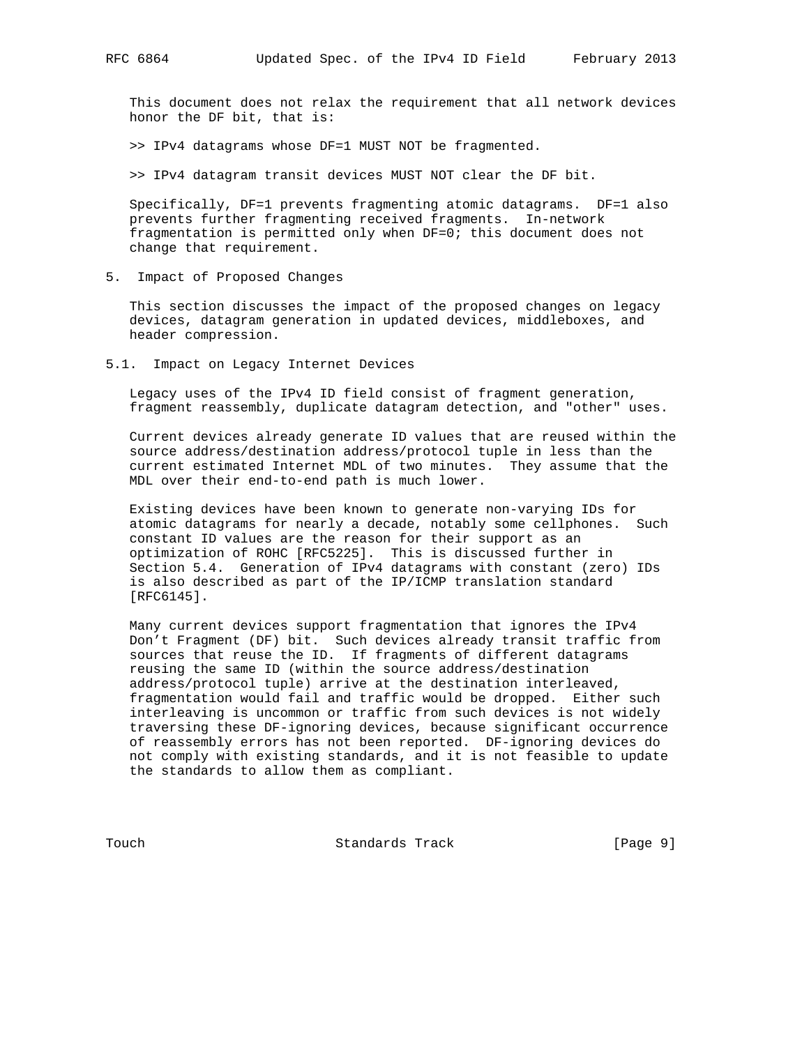This document does not relax the requirement that all network devices honor the DF bit, that is:

>> IPv4 datagrams whose DF=1 MUST NOT be fragmented.

>> IPv4 datagram transit devices MUST NOT clear the DF bit.

 Specifically, DF=1 prevents fragmenting atomic datagrams. DF=1 also prevents further fragmenting received fragments. In-network fragmentation is permitted only when DF=0; this document does not change that requirement.

5. Impact of Proposed Changes

 This section discusses the impact of the proposed changes on legacy devices, datagram generation in updated devices, middleboxes, and header compression.

5.1. Impact on Legacy Internet Devices

 Legacy uses of the IPv4 ID field consist of fragment generation, fragment reassembly, duplicate datagram detection, and "other" uses.

 Current devices already generate ID values that are reused within the source address/destination address/protocol tuple in less than the current estimated Internet MDL of two minutes. They assume that the MDL over their end-to-end path is much lower.

 Existing devices have been known to generate non-varying IDs for atomic datagrams for nearly a decade, notably some cellphones. Such constant ID values are the reason for their support as an optimization of ROHC [RFC5225]. This is discussed further in Section 5.4. Generation of IPv4 datagrams with constant (zero) IDs is also described as part of the IP/ICMP translation standard [RFC6145].

 Many current devices support fragmentation that ignores the IPv4 Don't Fragment (DF) bit. Such devices already transit traffic from sources that reuse the ID. If fragments of different datagrams reusing the same ID (within the source address/destination address/protocol tuple) arrive at the destination interleaved, fragmentation would fail and traffic would be dropped. Either such interleaving is uncommon or traffic from such devices is not widely traversing these DF-ignoring devices, because significant occurrence of reassembly errors has not been reported. DF-ignoring devices do not comply with existing standards, and it is not feasible to update the standards to allow them as compliant.

Touch **Standards Track** [Page 9]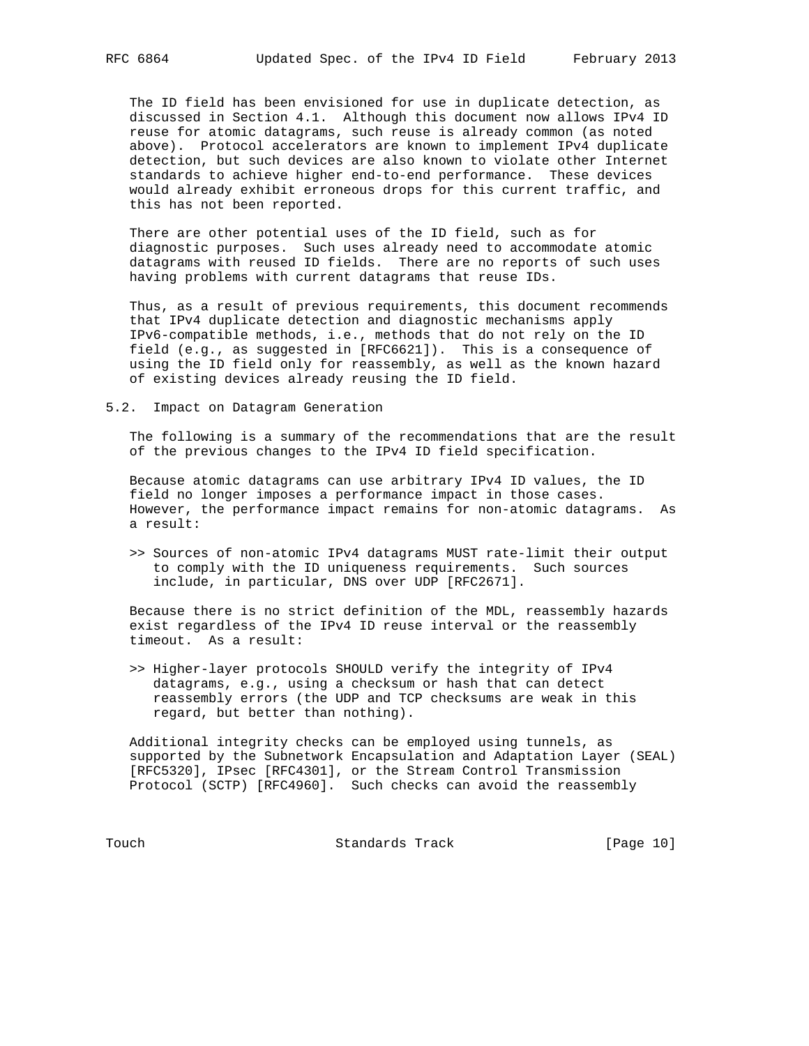The ID field has been envisioned for use in duplicate detection, as discussed in Section 4.1. Although this document now allows IPv4 ID reuse for atomic datagrams, such reuse is already common (as noted above). Protocol accelerators are known to implement IPv4 duplicate detection, but such devices are also known to violate other Internet standards to achieve higher end-to-end performance. These devices would already exhibit erroneous drops for this current traffic, and this has not been reported.

 There are other potential uses of the ID field, such as for diagnostic purposes. Such uses already need to accommodate atomic datagrams with reused ID fields. There are no reports of such uses having problems with current datagrams that reuse IDs.

 Thus, as a result of previous requirements, this document recommends that IPv4 duplicate detection and diagnostic mechanisms apply IPv6-compatible methods, i.e., methods that do not rely on the ID field (e.g., as suggested in [RFC6621]). This is a consequence of using the ID field only for reassembly, as well as the known hazard of existing devices already reusing the ID field.

5.2. Impact on Datagram Generation

 The following is a summary of the recommendations that are the result of the previous changes to the IPv4 ID field specification.

 Because atomic datagrams can use arbitrary IPv4 ID values, the ID field no longer imposes a performance impact in those cases. However, the performance impact remains for non-atomic datagrams. As a result:

 >> Sources of non-atomic IPv4 datagrams MUST rate-limit their output to comply with the ID uniqueness requirements. Such sources include, in particular, DNS over UDP [RFC2671].

 Because there is no strict definition of the MDL, reassembly hazards exist regardless of the IPv4 ID reuse interval or the reassembly timeout. As a result:

 >> Higher-layer protocols SHOULD verify the integrity of IPv4 datagrams, e.g., using a checksum or hash that can detect reassembly errors (the UDP and TCP checksums are weak in this regard, but better than nothing).

 Additional integrity checks can be employed using tunnels, as supported by the Subnetwork Encapsulation and Adaptation Layer (SEAL) [RFC5320], IPsec [RFC4301], or the Stream Control Transmission Protocol (SCTP) [RFC4960]. Such checks can avoid the reassembly

Touch **Standards Track** [Page 10]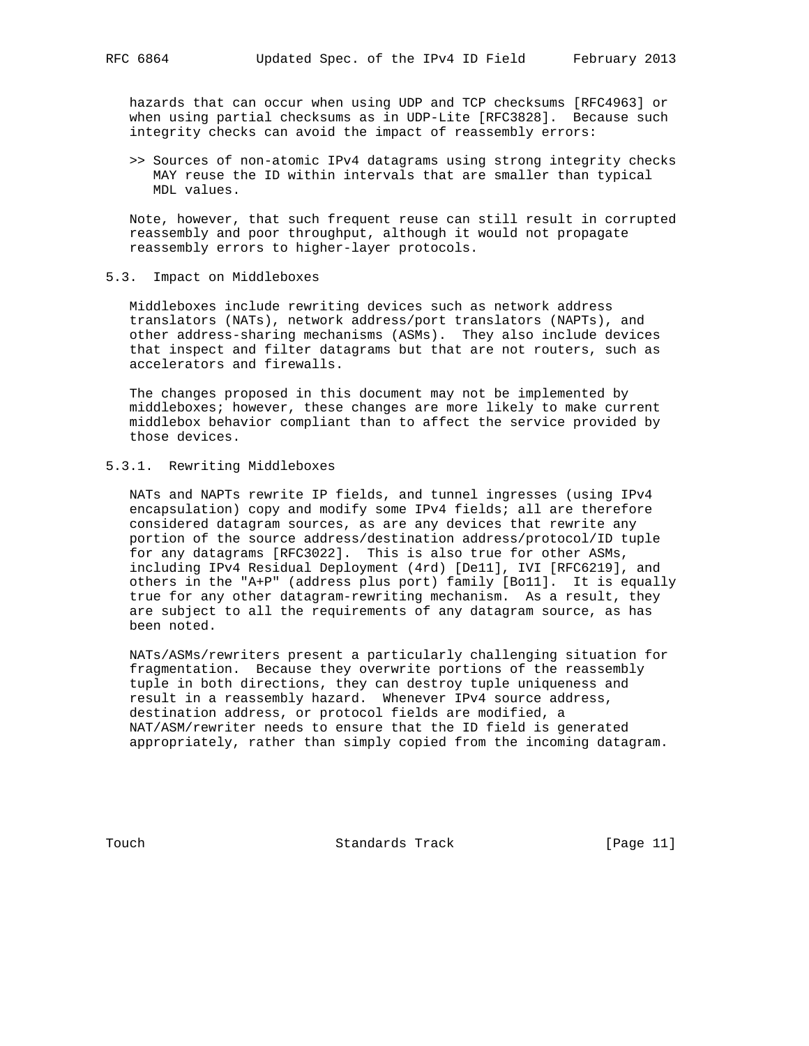hazards that can occur when using UDP and TCP checksums [RFC4963] or when using partial checksums as in UDP-Lite [RFC3828]. Because such integrity checks can avoid the impact of reassembly errors:

 >> Sources of non-atomic IPv4 datagrams using strong integrity checks MAY reuse the ID within intervals that are smaller than typical MDL values.

 Note, however, that such frequent reuse can still result in corrupted reassembly and poor throughput, although it would not propagate reassembly errors to higher-layer protocols.

5.3. Impact on Middleboxes

 Middleboxes include rewriting devices such as network address translators (NATs), network address/port translators (NAPTs), and other address-sharing mechanisms (ASMs). They also include devices that inspect and filter datagrams but that are not routers, such as accelerators and firewalls.

 The changes proposed in this document may not be implemented by middleboxes; however, these changes are more likely to make current middlebox behavior compliant than to affect the service provided by those devices.

# 5.3.1. Rewriting Middleboxes

 NATs and NAPTs rewrite IP fields, and tunnel ingresses (using IPv4 encapsulation) copy and modify some IPv4 fields; all are therefore considered datagram sources, as are any devices that rewrite any portion of the source address/destination address/protocol/ID tuple for any datagrams [RFC3022]. This is also true for other ASMs, including IPv4 Residual Deployment (4rd) [De11], IVI [RFC6219], and others in the "A+P" (address plus port) family [Bo11]. It is equally true for any other datagram-rewriting mechanism. As a result, they are subject to all the requirements of any datagram source, as has been noted.

 NATs/ASMs/rewriters present a particularly challenging situation for fragmentation. Because they overwrite portions of the reassembly tuple in both directions, they can destroy tuple uniqueness and result in a reassembly hazard. Whenever IPv4 source address, destination address, or protocol fields are modified, a NAT/ASM/rewriter needs to ensure that the ID field is generated appropriately, rather than simply copied from the incoming datagram.

Touch **Standards Track** [Page 11]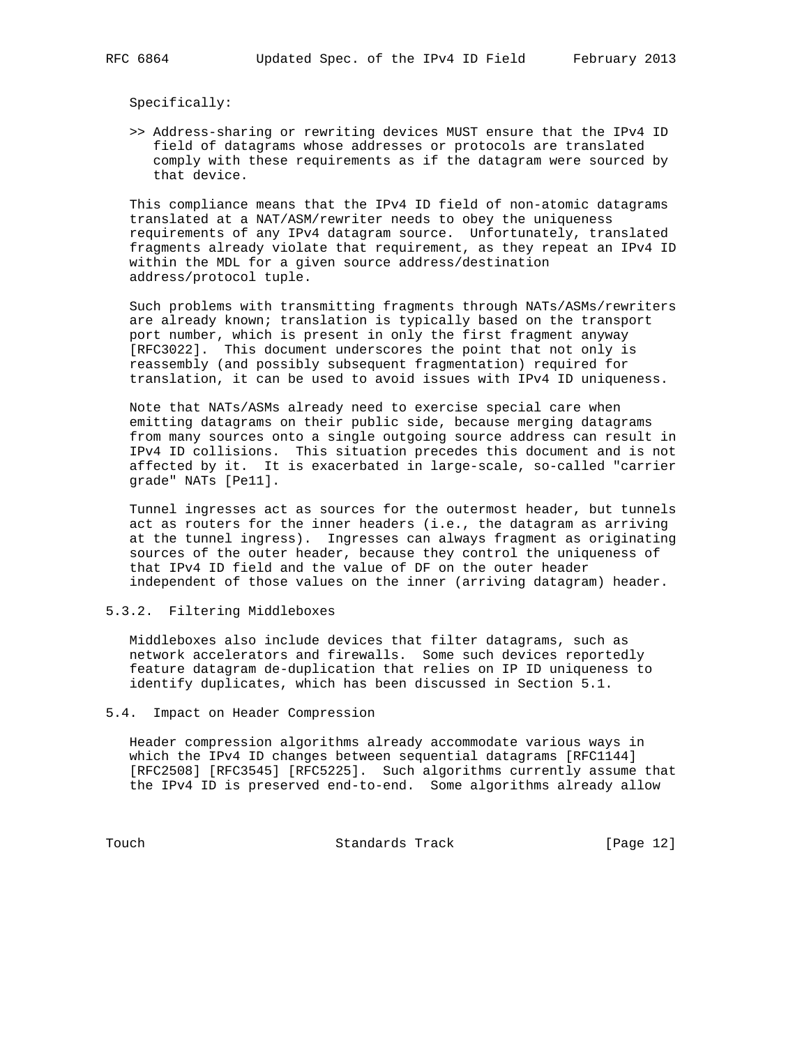Specifically:

 >> Address-sharing or rewriting devices MUST ensure that the IPv4 ID field of datagrams whose addresses or protocols are translated comply with these requirements as if the datagram were sourced by that device.

 This compliance means that the IPv4 ID field of non-atomic datagrams translated at a NAT/ASM/rewriter needs to obey the uniqueness requirements of any IPv4 datagram source. Unfortunately, translated fragments already violate that requirement, as they repeat an IPv4 ID within the MDL for a given source address/destination address/protocol tuple.

 Such problems with transmitting fragments through NATs/ASMs/rewriters are already known; translation is typically based on the transport port number, which is present in only the first fragment anyway [RFC3022]. This document underscores the point that not only is reassembly (and possibly subsequent fragmentation) required for translation, it can be used to avoid issues with IPv4 ID uniqueness.

 Note that NATs/ASMs already need to exercise special care when emitting datagrams on their public side, because merging datagrams from many sources onto a single outgoing source address can result in IPv4 ID collisions. This situation precedes this document and is not affected by it. It is exacerbated in large-scale, so-called "carrier grade" NATs [Pe11].

 Tunnel ingresses act as sources for the outermost header, but tunnels act as routers for the inner headers (i.e., the datagram as arriving at the tunnel ingress). Ingresses can always fragment as originating sources of the outer header, because they control the uniqueness of that IPv4 ID field and the value of DF on the outer header independent of those values on the inner (arriving datagram) header.

### 5.3.2. Filtering Middleboxes

 Middleboxes also include devices that filter datagrams, such as network accelerators and firewalls. Some such devices reportedly feature datagram de-duplication that relies on IP ID uniqueness to identify duplicates, which has been discussed in Section 5.1.

#### 5.4. Impact on Header Compression

 Header compression algorithms already accommodate various ways in which the IPv4 ID changes between sequential datagrams [RFC1144] [RFC2508] [RFC3545] [RFC5225]. Such algorithms currently assume that the IPv4 ID is preserved end-to-end. Some algorithms already allow

Touch **Standards Track** [Page 12]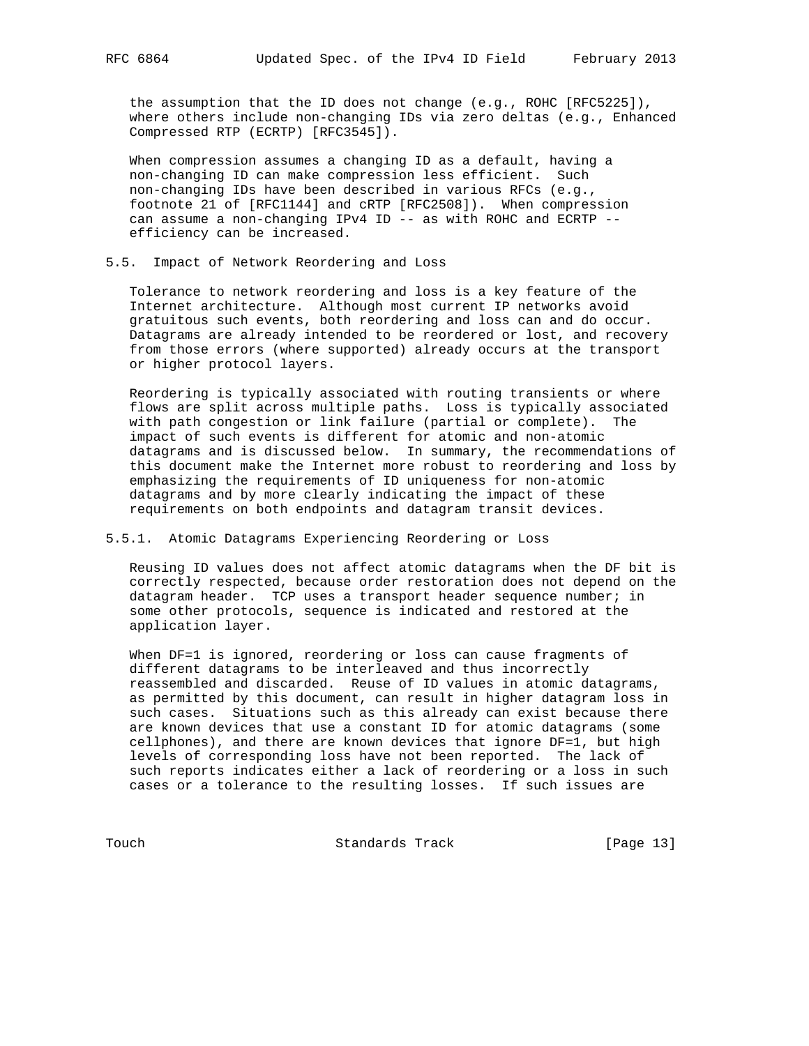the assumption that the ID does not change (e.g., ROHC [RFC5225]), where others include non-changing IDs via zero deltas (e.g., Enhanced Compressed RTP (ECRTP) [RFC3545]).

 When compression assumes a changing ID as a default, having a non-changing ID can make compression less efficient. Such non-changing IDs have been described in various RFCs (e.g., footnote 21 of [RFC1144] and cRTP [RFC2508]). When compression can assume a non-changing IPv4 ID -- as with ROHC and ECRTP -efficiency can be increased.

5.5. Impact of Network Reordering and Loss

 Tolerance to network reordering and loss is a key feature of the Internet architecture. Although most current IP networks avoid gratuitous such events, both reordering and loss can and do occur. Datagrams are already intended to be reordered or lost, and recovery from those errors (where supported) already occurs at the transport or higher protocol layers.

 Reordering is typically associated with routing transients or where flows are split across multiple paths. Loss is typically associated with path congestion or link failure (partial or complete). The impact of such events is different for atomic and non-atomic datagrams and is discussed below. In summary, the recommendations of this document make the Internet more robust to reordering and loss by emphasizing the requirements of ID uniqueness for non-atomic datagrams and by more clearly indicating the impact of these requirements on both endpoints and datagram transit devices.

# 5.5.1. Atomic Datagrams Experiencing Reordering or Loss

 Reusing ID values does not affect atomic datagrams when the DF bit is correctly respected, because order restoration does not depend on the datagram header. TCP uses a transport header sequence number; in some other protocols, sequence is indicated and restored at the application layer.

When DF=1 is ignored, reordering or loss can cause fragments of different datagrams to be interleaved and thus incorrectly reassembled and discarded. Reuse of ID values in atomic datagrams, as permitted by this document, can result in higher datagram loss in such cases. Situations such as this already can exist because there are known devices that use a constant ID for atomic datagrams (some cellphones), and there are known devices that ignore DF=1, but high levels of corresponding loss have not been reported. The lack of such reports indicates either a lack of reordering or a loss in such cases or a tolerance to the resulting losses. If such issues are

Touch **Standards Track** [Page 13]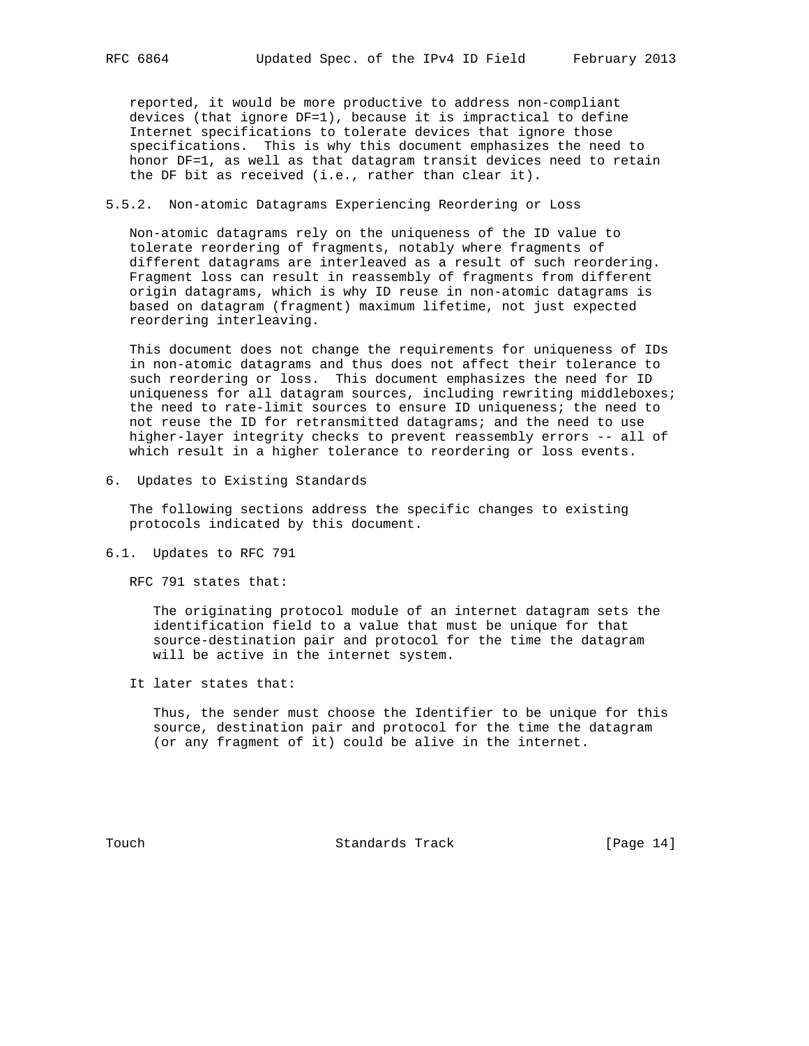reported, it would be more productive to address non-compliant devices (that ignore DF=1), because it is impractical to define Internet specifications to tolerate devices that ignore those specifications. This is why this document emphasizes the need to honor DF=1, as well as that datagram transit devices need to retain the DF bit as received (i.e., rather than clear it).

#### 5.5.2. Non-atomic Datagrams Experiencing Reordering or Loss

 Non-atomic datagrams rely on the uniqueness of the ID value to tolerate reordering of fragments, notably where fragments of different datagrams are interleaved as a result of such reordering. Fragment loss can result in reassembly of fragments from different origin datagrams, which is why ID reuse in non-atomic datagrams is based on datagram (fragment) maximum lifetime, not just expected reordering interleaving.

 This document does not change the requirements for uniqueness of IDs in non-atomic datagrams and thus does not affect their tolerance to such reordering or loss. This document emphasizes the need for ID uniqueness for all datagram sources, including rewriting middleboxes; the need to rate-limit sources to ensure ID uniqueness; the need to not reuse the ID for retransmitted datagrams; and the need to use higher-layer integrity checks to prevent reassembly errors -- all of which result in a higher tolerance to reordering or loss events.

6. Updates to Existing Standards

 The following sections address the specific changes to existing protocols indicated by this document.

6.1. Updates to RFC 791

RFC 791 states that:

 The originating protocol module of an internet datagram sets the identification field to a value that must be unique for that source-destination pair and protocol for the time the datagram will be active in the internet system.

It later states that:

 Thus, the sender must choose the Identifier to be unique for this source, destination pair and protocol for the time the datagram (or any fragment of it) could be alive in the internet.

Touch **Standards Track** [Page 14]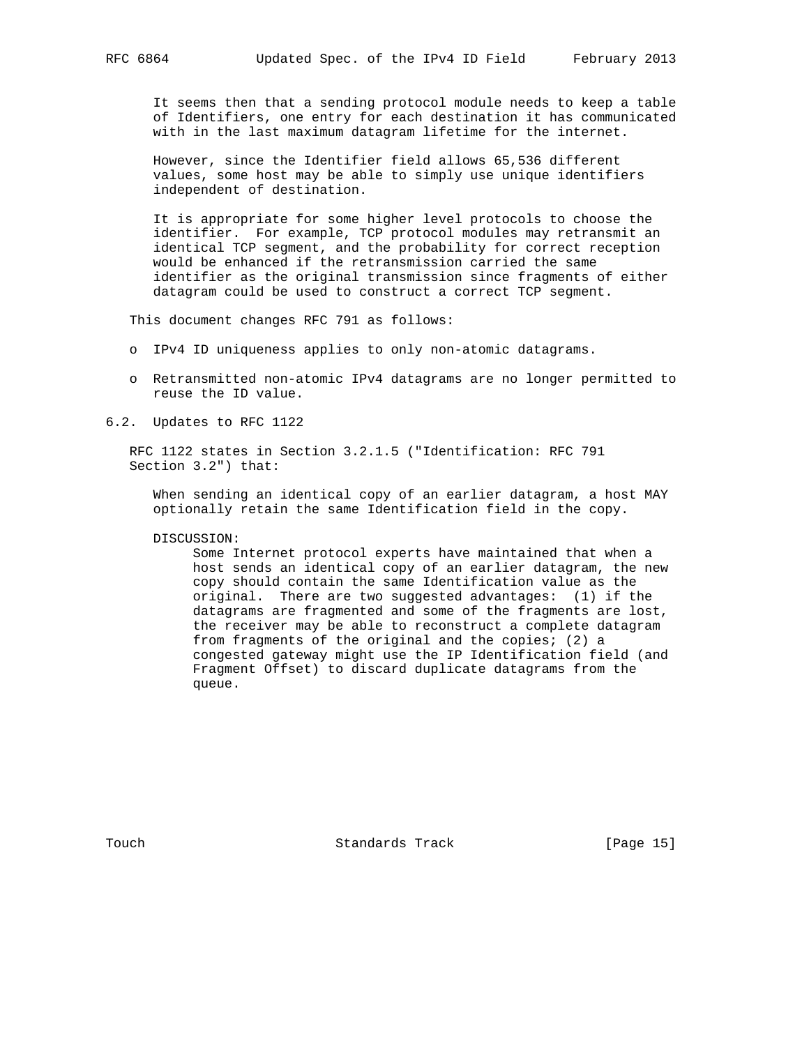It seems then that a sending protocol module needs to keep a table of Identifiers, one entry for each destination it has communicated with in the last maximum datagram lifetime for the internet.

 However, since the Identifier field allows 65,536 different values, some host may be able to simply use unique identifiers independent of destination.

 It is appropriate for some higher level protocols to choose the identifier. For example, TCP protocol modules may retransmit an identical TCP segment, and the probability for correct reception would be enhanced if the retransmission carried the same identifier as the original transmission since fragments of either datagram could be used to construct a correct TCP segment.

This document changes RFC 791 as follows:

- o IPv4 ID uniqueness applies to only non-atomic datagrams.
- o Retransmitted non-atomic IPv4 datagrams are no longer permitted to reuse the ID value.
- 6.2. Updates to RFC 1122

 RFC 1122 states in Section 3.2.1.5 ("Identification: RFC 791 Section 3.2") that:

 When sending an identical copy of an earlier datagram, a host MAY optionally retain the same Identification field in the copy.

DISCUSSION:

 Some Internet protocol experts have maintained that when a host sends an identical copy of an earlier datagram, the new copy should contain the same Identification value as the original. There are two suggested advantages: (1) if the datagrams are fragmented and some of the fragments are lost, the receiver may be able to reconstruct a complete datagram from fragments of the original and the copies; (2) a congested gateway might use the IP Identification field (and Fragment Offset) to discard duplicate datagrams from the queue.

Touch **Standards Track** [Page 15]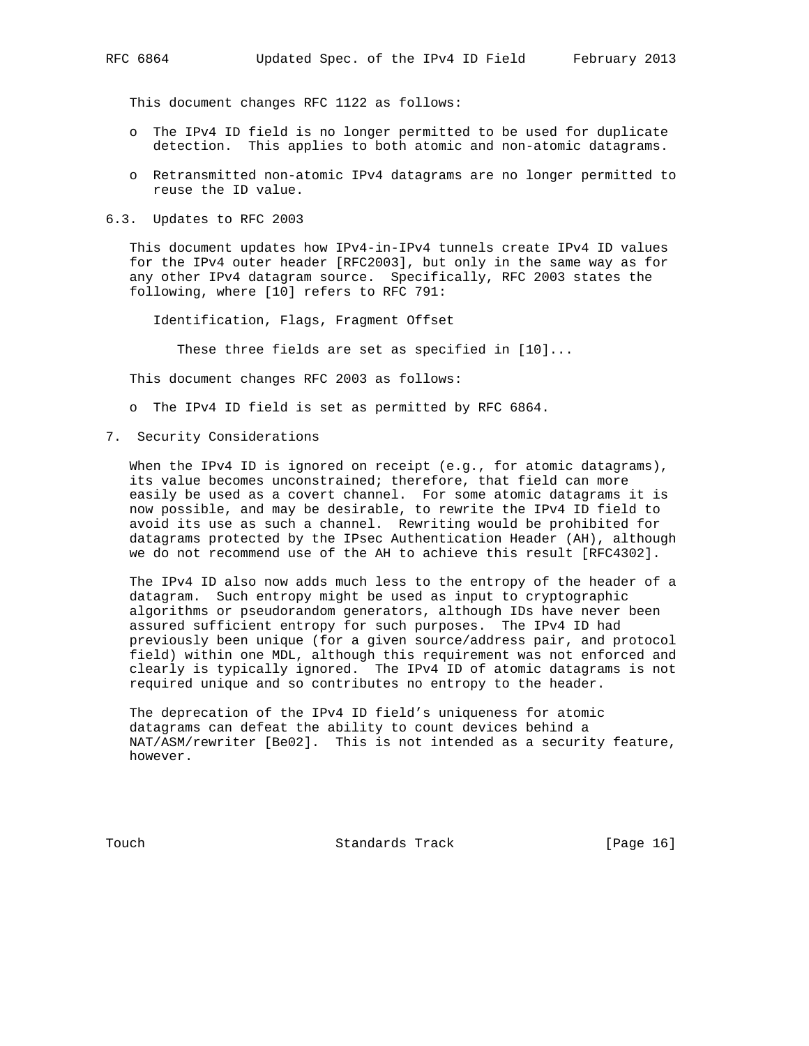This document changes RFC 1122 as follows:

- o The IPv4 ID field is no longer permitted to be used for duplicate detection. This applies to both atomic and non-atomic datagrams.
- o Retransmitted non-atomic IPv4 datagrams are no longer permitted to reuse the ID value.
- 6.3. Updates to RFC 2003

 This document updates how IPv4-in-IPv4 tunnels create IPv4 ID values for the IPv4 outer header [RFC2003], but only in the same way as for any other IPv4 datagram source. Specifically, RFC 2003 states the following, where [10] refers to RFC 791:

Identification, Flags, Fragment Offset

These three fields are set as specified in [10]...

This document changes RFC 2003 as follows:

o The IPv4 ID field is set as permitted by RFC 6864.

7. Security Considerations

When the IPv4 ID is ignored on receipt (e.g., for atomic datagrams), its value becomes unconstrained; therefore, that field can more easily be used as a covert channel. For some atomic datagrams it is now possible, and may be desirable, to rewrite the IPv4 ID field to avoid its use as such a channel. Rewriting would be prohibited for datagrams protected by the IPsec Authentication Header (AH), although we do not recommend use of the AH to achieve this result [RFC4302].

 The IPv4 ID also now adds much less to the entropy of the header of a datagram. Such entropy might be used as input to cryptographic algorithms or pseudorandom generators, although IDs have never been assured sufficient entropy for such purposes. The IPv4 ID had previously been unique (for a given source/address pair, and protocol field) within one MDL, although this requirement was not enforced and clearly is typically ignored. The IPv4 ID of atomic datagrams is not required unique and so contributes no entropy to the header.

 The deprecation of the IPv4 ID field's uniqueness for atomic datagrams can defeat the ability to count devices behind a NAT/ASM/rewriter [Be02]. This is not intended as a security feature, however.

Touch **Standards Track** [Page 16]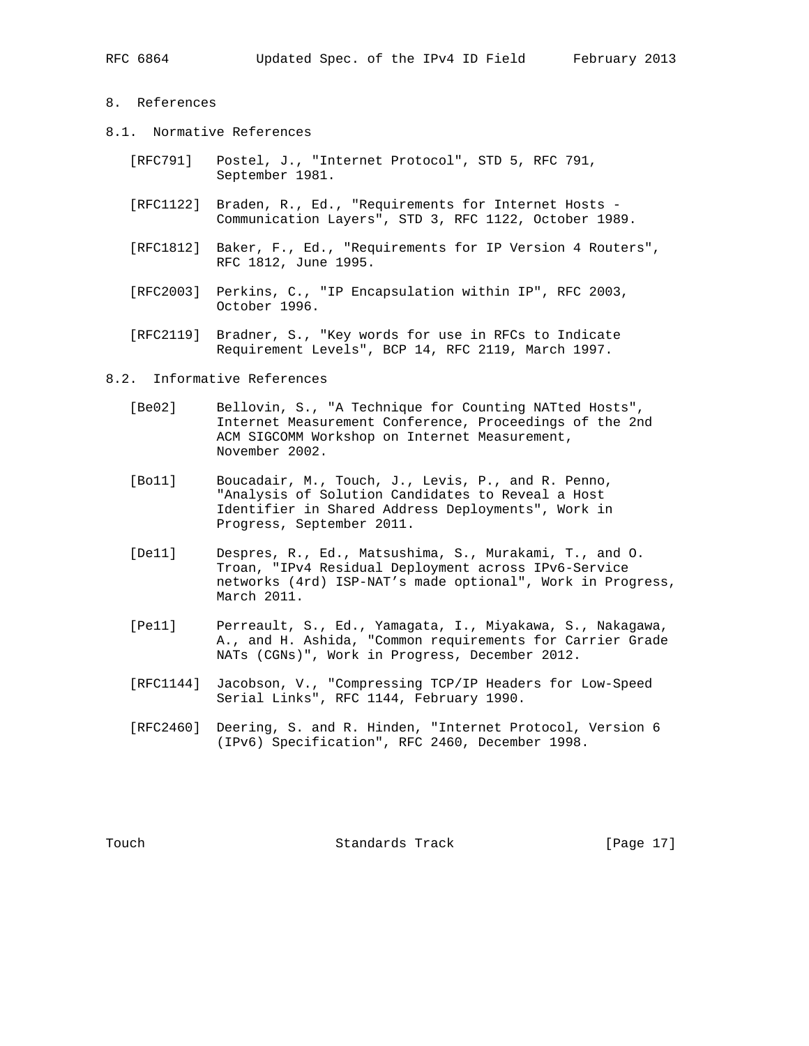# 8. References

- 8.1. Normative References
	- [RFC791] Postel, J., "Internet Protocol", STD 5, RFC 791, September 1981.
	- [RFC1122] Braden, R., Ed., "Requirements for Internet Hosts Communication Layers", STD 3, RFC 1122, October 1989.
	- [RFC1812] Baker, F., Ed., "Requirements for IP Version 4 Routers", RFC 1812, June 1995.
	- [RFC2003] Perkins, C., "IP Encapsulation within IP", RFC 2003, October 1996.
	- [RFC2119] Bradner, S., "Key words for use in RFCs to Indicate Requirement Levels", BCP 14, RFC 2119, March 1997.
- 8.2. Informative References
	- [Be02] Bellovin, S., "A Technique for Counting NATted Hosts", Internet Measurement Conference, Proceedings of the 2nd ACM SIGCOMM Workshop on Internet Measurement, November 2002.
	- [Bo11] Boucadair, M., Touch, J., Levis, P., and R. Penno, "Analysis of Solution Candidates to Reveal a Host Identifier in Shared Address Deployments", Work in Progress, September 2011.
	- [De11] Despres, R., Ed., Matsushima, S., Murakami, T., and O. Troan, "IPv4 Residual Deployment across IPv6-Service networks (4rd) ISP-NAT's made optional", Work in Progress, March 2011.
	- [Pe11] Perreault, S., Ed., Yamagata, I., Miyakawa, S., Nakagawa, A., and H. Ashida, "Common requirements for Carrier Grade NATs (CGNs)", Work in Progress, December 2012.
	- [RFC1144] Jacobson, V., "Compressing TCP/IP Headers for Low-Speed Serial Links", RFC 1144, February 1990.
	- [RFC2460] Deering, S. and R. Hinden, "Internet Protocol, Version 6 (IPv6) Specification", RFC 2460, December 1998.

Touch **Standards Track** [Page 17]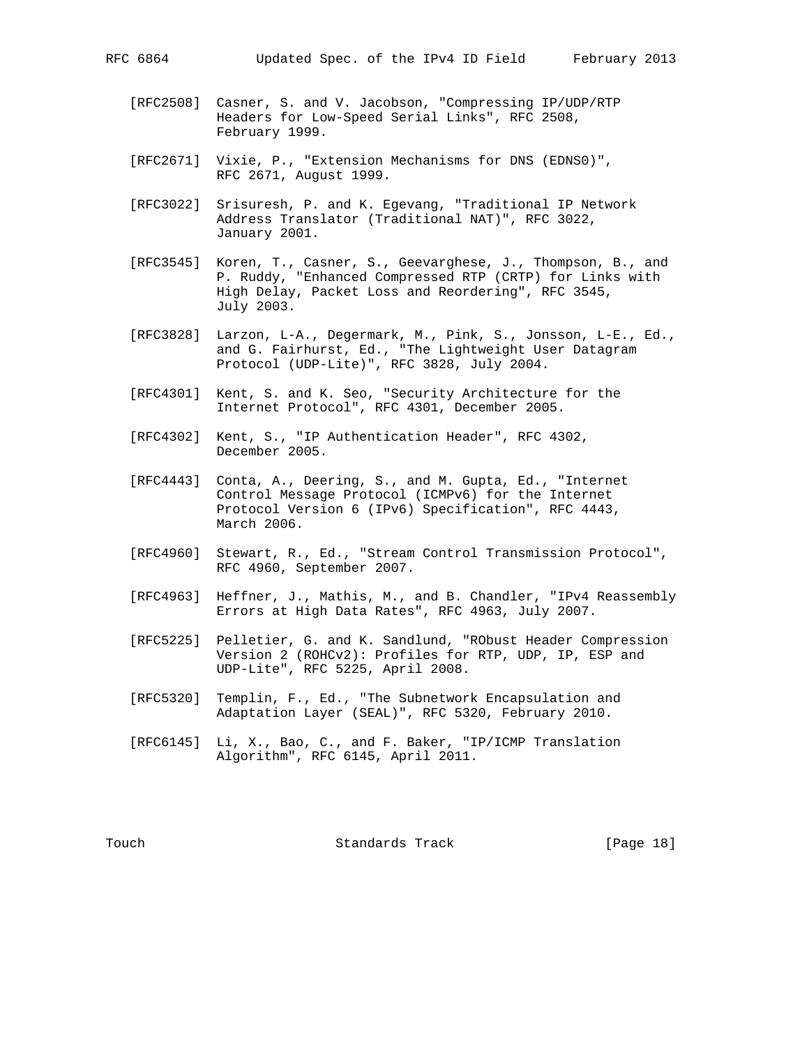- - [RFC2508] Casner, S. and V. Jacobson, "Compressing IP/UDP/RTP Headers for Low-Speed Serial Links", RFC 2508, February 1999.
	- [RFC2671] Vixie, P., "Extension Mechanisms for DNS (EDNS0)", RFC 2671, August 1999.
	- [RFC3022] Srisuresh, P. and K. Egevang, "Traditional IP Network Address Translator (Traditional NAT)", RFC 3022, January 2001.
	- [RFC3545] Koren, T., Casner, S., Geevarghese, J., Thompson, B., and P. Ruddy, "Enhanced Compressed RTP (CRTP) for Links with High Delay, Packet Loss and Reordering", RFC 3545, July 2003.
	- [RFC3828] Larzon, L-A., Degermark, M., Pink, S., Jonsson, L-E., Ed., and G. Fairhurst, Ed., "The Lightweight User Datagram Protocol (UDP-Lite)", RFC 3828, July 2004.
	- [RFC4301] Kent, S. and K. Seo, "Security Architecture for the Internet Protocol", RFC 4301, December 2005.
	- [RFC4302] Kent, S., "IP Authentication Header", RFC 4302, December 2005.
	- [RFC4443] Conta, A., Deering, S., and M. Gupta, Ed., "Internet Control Message Protocol (ICMPv6) for the Internet Protocol Version 6 (IPv6) Specification", RFC 4443, March 2006.
	- [RFC4960] Stewart, R., Ed., "Stream Control Transmission Protocol", RFC 4960, September 2007.
	- [RFC4963] Heffner, J., Mathis, M., and B. Chandler, "IPv4 Reassembly Errors at High Data Rates", RFC 4963, July 2007.
	- [RFC5225] Pelletier, G. and K. Sandlund, "RObust Header Compression Version 2 (ROHCv2): Profiles for RTP, UDP, IP, ESP and UDP-Lite", RFC 5225, April 2008.
	- [RFC5320] Templin, F., Ed., "The Subnetwork Encapsulation and Adaptation Layer (SEAL)", RFC 5320, February 2010.
	- [RFC6145] Li, X., Bao, C., and F. Baker, "IP/ICMP Translation Algorithm", RFC 6145, April 2011.

Touch **Standards Track** [Page 18]